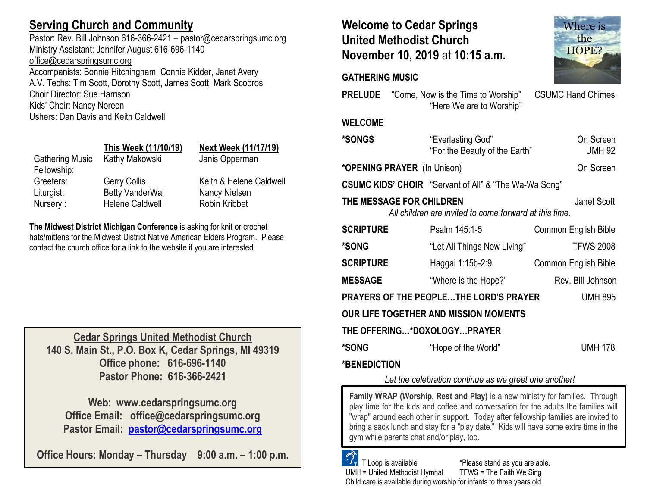## **Serving Church and Community**

Pastor: Rev. Bill Johnson 616-366-2421 – pastor@cedarspringsumc.org Ministry Assistant: Jennifer August 616-696-1140

## [office@cedarspringsumc.org](mailto:office@cedarspringsumc.org)

Accompanists: Bonnie Hitchingham, Connie Kidder, Janet Avery A.V. Techs: Tim Scott, Dorothy Scott, James Scott, Mark Scooros Choir Director: Sue Harrison Kids' Choir: Nancy Noreen Ushers: Dan Davis and Keith Caldwell

|                        | This Week (11/10/19)   | <b>Next Week (11/17/19)</b> |
|------------------------|------------------------|-----------------------------|
| <b>Gathering Music</b> | Kathy Makowski         | Janis Opperman              |
| Fellowship:            |                        |                             |
| Greeters:              | <b>Gerry Collis</b>    | Keith & Helene Caldwell     |
| Liturgist:             | <b>Betty VanderWal</b> | Nancy Nielsen               |
| Nursery:               | <b>Helene Caldwell</b> | <b>Robin Kribbet</b>        |

**The Midwest District Michigan Conference** is asking for knit or crochet hats/mittens for the Midwest District Native American Elders Program. Please contact the church office for a link to the website if you are interested.

**Cedar Springs United Methodist Church 140 S. Main St., P.O. Box K, Cedar Springs, MI 49319 Office phone: 616-696-1140 Pastor Phone: 616-366-2421**

**Web: www.cedarspringsumc.org Office Email: office@cedarspringsumc.org Pastor Email: [pastor@cedarspringsumc.org](mailto:pastor@cedarspringsumc.org)**

**Office Hours: Monday – Thursday 9:00 a.m. – 1:00 p.m.**

## **Welcome to Cedar Springs United Methodist Church November 10, 2019** at **10:15 a.m.**

### **GATHERING MUSIC**

**PRELUDE** "Come, Now is the Time to Worship" CSUMC Hand Chimes "Here We are to Worship" **WELCOME \*SONGS** "Everlasting God" On Screen "For the Beauty of the Earth" UMH 92 **\*OPENING PRAYER** (In Unison) On Screen **CSUMC KIDS' CHOIR** "Servant of All" & "The Wa-Wa Song" **THE MESSAGE FOR CHILDREN Janet Scott** *All children are invited to come forward at this time.* **SCRIPTURE** Psalm 145:1-5 Common English Bible \***SONG** "Let All Things Now Living" TFWS 2008 **SCRIPTURE** Haggai 1:15b-2:9 Common English Bible **MESSAGE** "Where is the Hope?" Rev. Bill Johnson **PRAYERS OF THE PEOPLE…THE LORD'S PRAYER** UMH 895 **OUR LIFE TOGETHER AND MISSION MOMENTS THE OFFERING…\*DOXOLOGY…PRAYER \*SONG** "Hope of the World" UMH 178 **\*BENEDICTION**

*Let the celebration continue as we greet one another!*

**Family WRAP (Worship, Rest and Play)** is a new ministry for families. Through play time for the kids and coffee and conversation for the adults the families will "wrap" around each other in support. Today after fellowship families are invited to bring a sack lunch and stay for a "play date." Kids will have some extra time in the gym while parents chat and/or play, too.

 T Loop is available \*Please stand as you are able. UMH = United Methodist Hymnal TFWS = The Faith We Sing Child care is available during worship for infants to three years old.